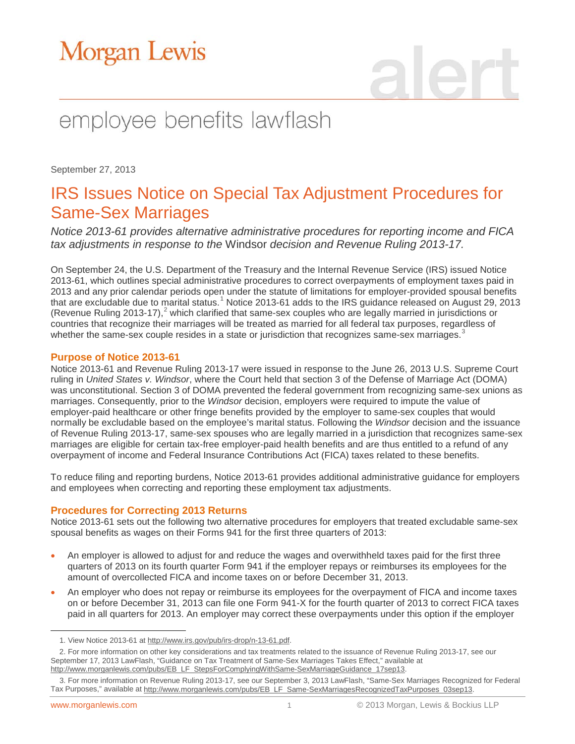# **Morgan Lewis**

## employee benefits lawflash

September 27, 2013

### IRS Issues Notice on Special Tax Adjustment Procedures for Same-Sex Marriages

*Notice 2013-61 provides alternative administrative procedures for reporting income and FICA tax adjustments in response to the* Windsor *decision and Revenue Ruling 2013-17.*

On September 24, the U.S. Department of the Treasury and the Internal Revenue Service (IRS) issued Notice 2013-61, which outlines special administrative procedures to correct overpayments of employment taxes paid in 2013 and any prior calendar periods open under the statute of limitations for employer-provided spousal benefits that are excludable due to marital status.<sup>[1](#page-0-0)</sup> Notice 2013-61 adds to the IRS guidance released on August 29, 2013 (Revenue Ruling [2](#page-0-1)013-17),<sup>2</sup> which clarified that same-sex couples who are legally married in jurisdictions or countries that recognize their marriages will be treated as married for all federal tax purposes, regardless of whether the same-sex couple resides in a state or jurisdiction that recognizes same-sex marriages.<sup>[3](#page-0-2)</sup>

#### **Purpose of Notice 2013-61**

Notice 2013-61 and Revenue Ruling 2013-17 were issued in response to the June 26, 2013 U.S. Supreme Court ruling in *United States v. Windsor*, where the Court held that section 3 of the Defense of Marriage Act (DOMA) was unconstitutional. Section 3 of DOMA prevented the federal government from recognizing same-sex unions as marriages. Consequently, prior to the *Windsor* decision, employers were required to impute the value of employer-paid healthcare or other fringe benefits provided by the employer to same-sex couples that would normally be excludable based on the employee's marital status. Following the *Windsor* decision and the issuance of Revenue Ruling 2013-17, same-sex spouses who are legally married in a jurisdiction that recognizes same-sex marriages are eligible for certain tax-free employer-paid health benefits and are thus entitled to a refund of any overpayment of income and Federal Insurance Contributions Act (FICA) taxes related to these benefits.

To reduce filing and reporting burdens, Notice 2013-61 provides additional administrative guidance for employers and employees when correcting and reporting these employment tax adjustments.

#### **Procedures for Correcting 2013 Returns**

Notice 2013-61 sets out the following two alternative procedures for employers that treated excludable same-sex spousal benefits as wages on their Forms 941 for the first three quarters of 2013:

- An employer is allowed to adjust for and reduce the wages and overwithheld taxes paid for the first three quarters of 2013 on its fourth quarter Form 941 if the employer repays or reimburses its employees for the amount of overcollected FICA and income taxes on or before December 31, 2013.
- An employer who does not repay or reimburse its employees for the overpayment of FICA and income taxes on or before December 31, 2013 can file one Form 941-X for the fourth quarter of 2013 to correct FICA taxes paid in all quarters for 2013. An employer may correct these overpayments under this option if the employer

 $\overline{a}$ 

<sup>1.</sup> View Notice 2013-61 at [http://www.irs.gov/pub/irs-drop/n-13-61.pdf.](http://www.irs.gov/pub/irs-drop/n-13-61.pdf) 

<span id="page-0-1"></span><span id="page-0-0"></span><sup>2.</sup> For more information on other key considerations and tax treatments related to the issuance of Revenue Ruling 2013-17, see our September 17, 2013 LawFlash, "Guidance on Tax Treatment of Same-Sex Marriages Takes Effect," available at [http://www.morganlewis.com/pubs/EB\\_LF\\_StepsForComplyingWithSame-SexMarriageGuidance\\_17sep13.](http://www.morganlewis.com/pubs/EB_LF_StepsForComplyingWithSame-SexMarriageGuidance_17sep13)

<span id="page-0-2"></span><sup>3.</sup> For more information on Revenue Ruling 2013-17, see our September 3, 2013 LawFlash, "Same-Sex Marriages Recognized for Federal Tax Purposes," available a[t http://www.morganlewis.com/pubs/EB\\_LF\\_Same-SexMarriagesRecognizedTaxPurposes\\_03sep13.](http://www.morganlewis.com/pubs/EB_LF_Same-SexMarriagesRecognizedTaxPurposes_03sep13)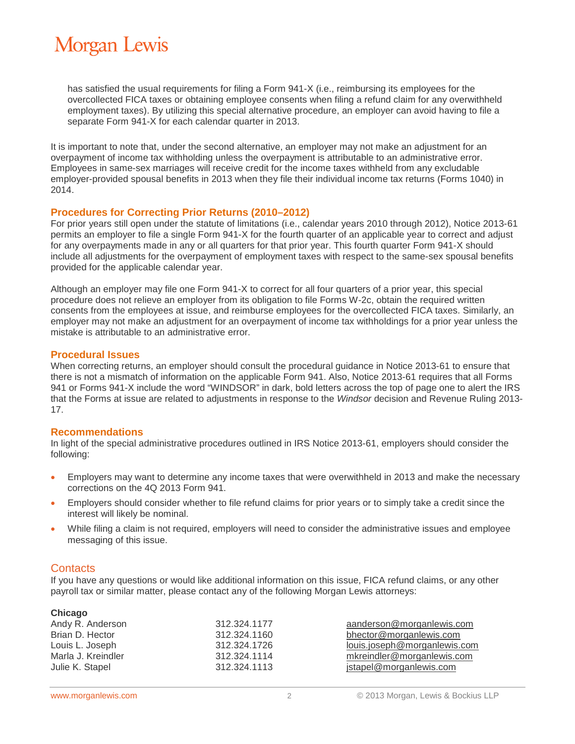## **Morgan Lewis**

has satisfied the usual requirements for filing a Form 941-X (i.e., reimbursing its employees for the overcollected FICA taxes or obtaining employee consents when filing a refund claim for any overwithheld employment taxes). By utilizing this special alternative procedure, an employer can avoid having to file a separate Form 941-X for each calendar quarter in 2013.

It is important to note that, under the second alternative, an employer may not make an adjustment for an overpayment of income tax withholding unless the overpayment is attributable to an administrative error. Employees in same-sex marriages will receive credit for the income taxes withheld from any excludable employer-provided spousal benefits in 2013 when they file their individual income tax returns (Forms 1040) in 2014.

#### **Procedures for Correcting Prior Returns (2010–2012)**

For prior years still open under the statute of limitations (i.e., calendar years 2010 through 2012), Notice 2013-61 permits an employer to file a single Form 941-X for the fourth quarter of an applicable year to correct and adjust for any overpayments made in any or all quarters for that prior year. This fourth quarter Form 941-X should include all adjustments for the overpayment of employment taxes with respect to the same-sex spousal benefits provided for the applicable calendar year.

Although an employer may file one Form 941-X to correct for all four quarters of a prior year, this special procedure does not relieve an employer from its obligation to file Forms W-2c, obtain the required written consents from the employees at issue, and reimburse employees for the overcollected FICA taxes. Similarly, an employer may not make an adjustment for an overpayment of income tax withholdings for a prior year unless the mistake is attributable to an administrative error.

#### **Procedural Issues**

When correcting returns, an employer should consult the procedural guidance in Notice 2013-61 to ensure that there is not a mismatch of information on the applicable Form 941. Also, Notice 2013-61 requires that all Forms 941 or Forms 941-X include the word "WINDSOR" in dark, bold letters across the top of page one to alert the IRS that the Forms at issue are related to adjustments in response to the *Windsor* decision and Revenue Ruling 2013- 17.

#### **Recommendations**

In light of the special administrative procedures outlined in IRS Notice 2013-61, employers should consider the following:

- Employers may want to determine any income taxes that were overwithheld in 2013 and make the necessary corrections on the 4Q 2013 Form 941.
- Employers should consider whether to file refund claims for prior years or to simply take a credit since the interest will likely be nominal.
- While filing a claim is not required, employers will need to consider the administrative issues and employee messaging of this issue.

#### **Contacts**

If you have any questions or would like additional information on this issue, FICA refund claims, or any other payroll tax or similar matter, please contact any of the following Morgan Lewis attorneys:

| Chicago            |              |                              |
|--------------------|--------------|------------------------------|
| Andy R. Anderson   | 312.324.1177 | aanderson@morganlewis.com    |
| Brian D. Hector    | 312.324.1160 | bhector@morganlewis.com      |
| Louis L. Joseph    | 312.324.1726 | louis.joseph@morganlewis.com |
| Marla J. Kreindler | 312.324.1114 | mkreindler@morganlewis.com   |
| Julie K. Stapel    | 312.324.1113 | jstapel@morganlewis.com      |